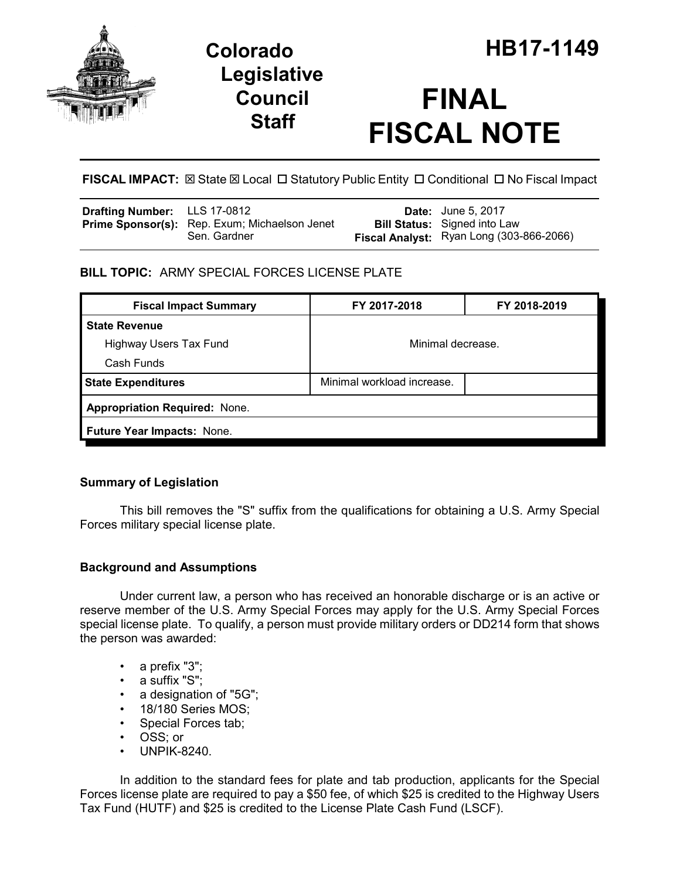

**Legislative Council Staff**

# **FINAL FISCAL NOTE**

**FISCAL IMPACT:** ⊠ State ⊠ Local □ Statutory Public Entity □ Conditional □ No Fiscal Impact

| <b>Drafting Number:</b> LLS 17-0812 |                                                               | <b>Date:</b> June 5, 2017                                                       |
|-------------------------------------|---------------------------------------------------------------|---------------------------------------------------------------------------------|
|                                     | Prime Sponsor(s): Rep. Exum; Michaelson Jenet<br>Sen. Gardner | <b>Bill Status:</b> Signed into Law<br>Fiscal Analyst: Ryan Long (303-866-2066) |

## **BILL TOPIC:** ARMY SPECIAL FORCES LICENSE PLATE

| FY 2017-2018                         | FY 2018-2019 |  |  |  |
|--------------------------------------|--------------|--|--|--|
|                                      |              |  |  |  |
| Minimal decrease.                    |              |  |  |  |
|                                      |              |  |  |  |
| Minimal workload increase.           |              |  |  |  |
| <b>Appropriation Required: None.</b> |              |  |  |  |
| Future Year Impacts: None.           |              |  |  |  |
|                                      |              |  |  |  |

## **Summary of Legislation**

This bill removes the "S" suffix from the qualifications for obtaining a U.S. Army Special Forces military special license plate.

## **Background and Assumptions**

Under current law, a person who has received an honorable discharge or is an active or reserve member of the U.S. Army Special Forces may apply for the U.S. Army Special Forces special license plate. To qualify, a person must provide military orders or DD214 form that shows the person was awarded:

- a prefix "3";
- a suffix "S";
- a designation of "5G";
- 18/180 Series MOS;
- Special Forces tab;
- OSS; or
- UNPIK-8240.

In addition to the standard fees for plate and tab production, applicants for the Special Forces license plate are required to pay a \$50 fee, of which \$25 is credited to the Highway Users Tax Fund (HUTF) and \$25 is credited to the License Plate Cash Fund (LSCF).